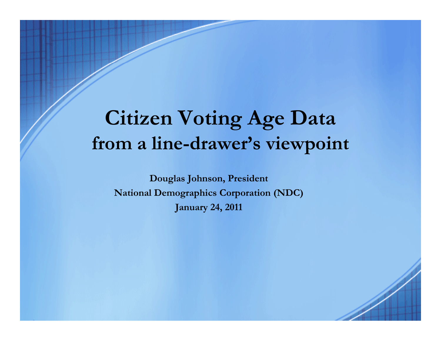# **Citizen Voting Age Data from <sup>a</sup> line -drawer s' viewpoint**

**Douglas Johnson, President National Demographics Corporation (NDC) January 24, 2011**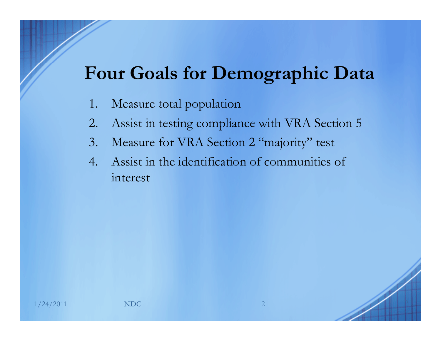## **Four Goals for Demographic Data**

- 1. Measure total population
- 2. Assist in testing compliance with VRA Section 5
- 3. Measure for VRA Section 2 "majority" test
- 4. Assist in the identification of communities of interest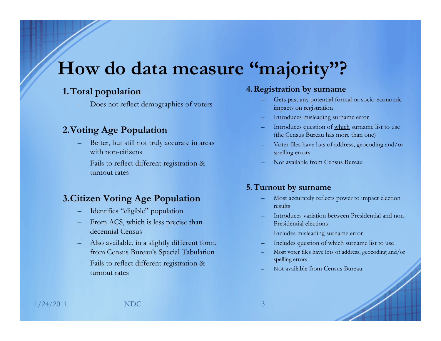## **H d d " j i "? How do data measure "ma jor ity"?**

#### **1.Total population**

Does not reflect demographics of voters

#### **2.Voting Age Population**

- Better, but still not truly accurate in areas with non-citizens
- Fails to reflect different registration & turnout rates

#### **3.Citizen Voting Age Population**

- Identifies "eligible" population
- From ACS, which is less precise than decennial Census
- Also available, in a slightly different form, from Census Bureau's Special Tabulation
- Fails to reflect different registration & turnout rates

#### **4.Registration by surname**

- Gets past any potential formal or socio-economic impacts on registration
	- Introduces misleading surname error
	- Introduces question of which surname list to use (the Census Bureau has more than one)
	- Voter files have lots of address, geocoding and/or spelling errors
	- Not available from Census Bureau

#### **5. Turnout b y surname y**

- Most accurately reflects power to impact election results
- Introduces variation between Presidential and non-Presidential elections
- Includes misleading surname error
- Includes question of which surname list to use
- Most voter files have lots of address, geocoding and/or spelling errors
- Not available from Census Bureau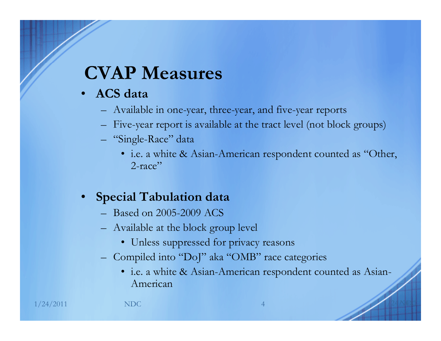## **CVAP Measures**

#### •**ACS data**

- Available in one-year, three-year, and five-year reports
- Five-year report is available at the tract level (not block groups)
- "Single-Race" data
	- i.e. a white & Asian-American respondent counted as "Other,  $2$ -race"

#### •**Special Tabulation data**

- Based on 2005-2009 ACS
- Available at the block group level
	- Unless suppressed for privacy reasons
- Compiled into "DoJ" aka "OMB" race categories
	- i.e. a white & Asian-American res pondent counted as Asian-American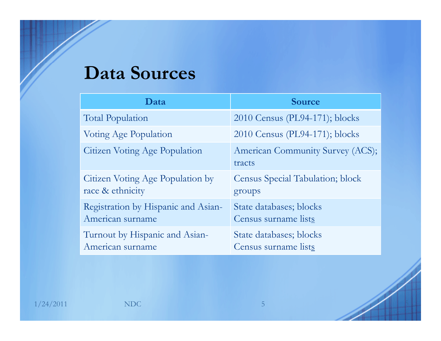#### **Data Sources**

| Data                                                    | <b>Source</b>                                   |
|---------------------------------------------------------|-------------------------------------------------|
| <b>Total Population</b>                                 | 2010 Census (PL94-171); blocks                  |
| Voting Age Population                                   | 2010 Census (PL94-171); blocks                  |
| Citizen Voting Age Population                           | American Community Survey (ACS);<br>tracts      |
| Citizen Voting Age Population by<br>race & ethnicity    | Census Special Tabulation; block<br>groups      |
| Registration by Hispanic and Asian-<br>American surname | State databases; blocks<br>Census surname lists |
| Turnout by Hispanic and Asian-<br>American surname      | State databases; blocks<br>Census surname lists |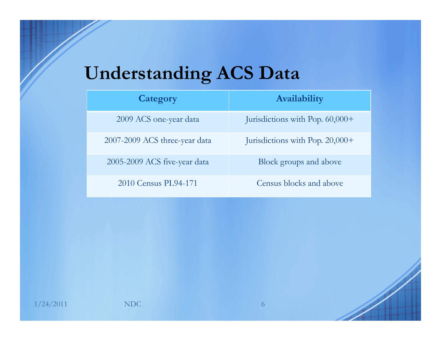# **Understanding ACS Data**

| Category                      | Availability                      |
|-------------------------------|-----------------------------------|
| 2009 ACS one-year data        | Jurisdictions with Pop. $60,000+$ |
| 2007-2009 ACS three-year data | Jurisdictions with Pop. 20,000+   |
| 2005-2009 ACS five-year data  | Block groups and above            |
| 2010 Census PL94-171          | Census blocks and above           |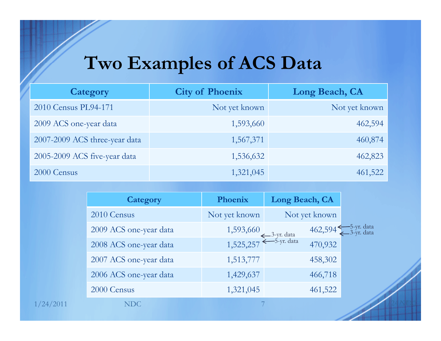# **Two Examples of ACS Data**

| Category                      | <b>City of Phoenix</b> | Long Beach, CA |
|-------------------------------|------------------------|----------------|
| 2010 Census PL94-171          | Not yet known          | Not yet known  |
| 2009 ACS one-year data        | 1,593,660              | 462,594        |
| 2007-2009 ACS three-year data | 1,567,371              | 460,874        |
| 2005-2009 ACS five-year data  | 1,536,632              | 462,823        |
| 2000 Census                   | 1,321,045              | 461,522        |

| Category               | <b>Phoenix</b>                                                 | Long Beach, CA |
|------------------------|----------------------------------------------------------------|----------------|
| 2010 Census            | Not yet known                                                  | Not yet known  |
| 2009 ACS one-year data | $1,593,660$<br>$-3$ -yr. data<br>$1,525,257$<br>$-5$ -yr. data |                |
| 2008 ACS one-year data |                                                                | 470,932        |
| 2007 ACS one-year data | 1,513,777                                                      | 458,302        |
| 2006 ACS one-year data | 1,429,637                                                      | 466,718        |
| 2000 Census            | 1,321,045                                                      | 461,522        |
| ND(                    |                                                                |                |

 $1/24/2011$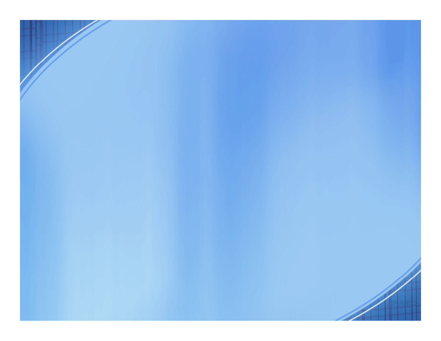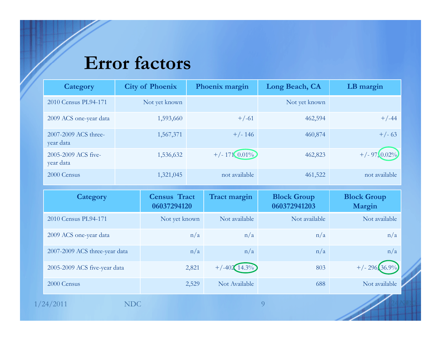### **Error factors**

| Category                          |           | <b>City of Phoenix</b>             |       | Phoenix margin      | Long Beach, CA                     | LB margin                    |         |                |
|-----------------------------------|-----------|------------------------------------|-------|---------------------|------------------------------------|------------------------------|---------|----------------|
| 2010 Census PL94-171              |           | Not yet known                      |       |                     | Not yet known                      |                              |         |                |
| 2009 ACS one-year data            |           | 1,593,660                          |       | $+/-61$             | 462,594                            | $+/-44$                      |         |                |
| 2007-2009 ACS three-<br>year data |           | 1,567,371                          |       | $+/- 146$           | 460,874                            | $+/- 63$                     |         |                |
| 2005-2009 ACS five-<br>year data  | 1,536,632 |                                    |       |                     | $+/- 1710.01\%$                    |                              | 462,823 | $+/- 97,0.02%$ |
| 2000 Census                       |           | 1,321,045                          |       | not available       | 461,522                            | not available                |         |                |
|                                   |           |                                    |       |                     |                                    |                              |         |                |
| Category                          |           | <b>Census Tract</b><br>06037294120 |       | <b>Tract margin</b> | <b>Block Group</b><br>060372941203 | <b>Block Group</b><br>Margin |         |                |
| 2010 Census PL94-171              |           | Not yet known                      |       | Not available       | Not available                      | Not available                |         |                |
| 2009 ACS one-year data            |           |                                    | n/a   | n/a                 | n/a                                | n/a                          |         |                |
| 2007-2009 ACS three-year data     |           |                                    | n/a   | n/a                 | n/a                                | n/a                          |         |                |
| 2005-2009 ACS five-year data      |           |                                    | 2,821 | $+/-402$ 14.3%      | 803                                | $+/- 296$<br>36.9%           |         |                |

 $1/24$  /  $\Omega$  0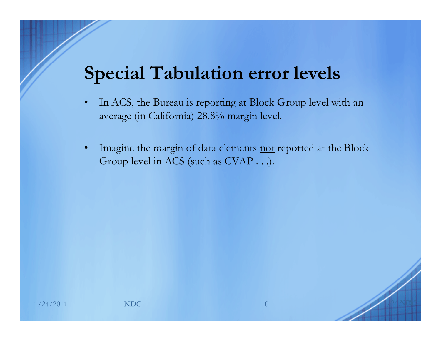## **Special Tabulation error levels**

- •In ACS, the Bureau <u>is</u> reporting at Block Group level with an average (in California) 28.8% margin level.
- $\bullet$ Imagine the margin of data elements not reported at the Block Group level in ACS (such as CVAP . . .).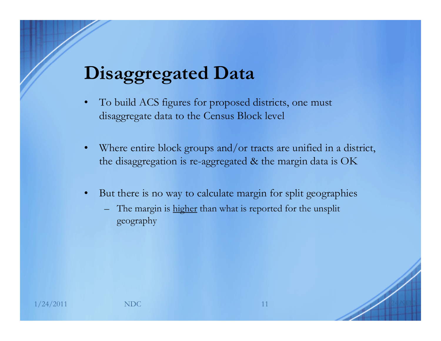# **Disaggregated Data**

- •• To build ACS figures for proposed districts, one must disaggregate data to the Census Block level
- $\bullet$ • Where entire block groups and/or tracts are unified in a district, the disaggregation is re-aggregated & the margin data is OK
- •• But there is no way to calculate margin for split geographies
	- The margin is higher than what is reported for the unsplit geography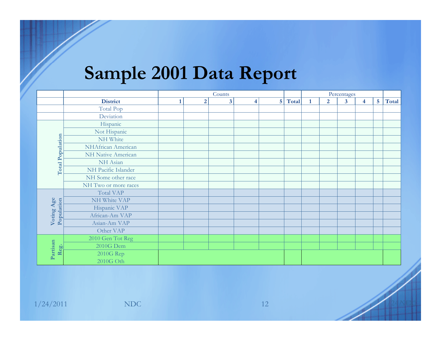# **Sample 2001 Data Report**

|                          |                      | Counts |                |                         |                         |                |       |              |                |                         |   |   |       |
|--------------------------|----------------------|--------|----------------|-------------------------|-------------------------|----------------|-------|--------------|----------------|-------------------------|---|---|-------|
|                          | <b>District</b>      | 1      | $\overline{2}$ | $\overline{\mathbf{3}}$ | $\overline{\mathbf{4}}$ | 5 <sup>5</sup> | Total | $\mathbf{1}$ | $\overline{2}$ | $\overline{\mathbf{3}}$ | 4 | 5 | Total |
|                          | <b>Total Pop</b>     |        |                |                         |                         |                |       |              |                |                         |   |   |       |
|                          | Deviation            |        |                |                         |                         |                |       |              |                |                         |   |   |       |
|                          | Hispanic             |        |                |                         |                         |                |       |              |                |                         |   |   |       |
|                          | Not Hispanic         |        |                |                         |                         |                |       |              |                |                         |   |   |       |
| <b>Total Population</b>  | NH White             |        |                |                         |                         |                |       |              |                |                         |   |   |       |
|                          | NHAfrican American   |        |                |                         |                         |                |       |              |                |                         |   |   |       |
|                          | NH Native American   |        |                |                         |                         |                |       |              |                |                         |   |   |       |
|                          | NH Asian             |        |                |                         |                         |                |       |              |                |                         |   |   |       |
|                          | NH Pacific Islander  |        |                |                         |                         |                |       |              |                |                         |   |   |       |
|                          | NH Some other race   |        |                |                         |                         |                |       |              |                |                         |   |   |       |
|                          | NH Two or more races |        |                |                         |                         |                |       |              |                |                         |   |   |       |
|                          | Total VAP            |        |                |                         |                         |                |       |              |                |                         |   |   |       |
|                          | NH White VAP         |        |                |                         |                         |                |       |              |                |                         |   |   |       |
| Voting Age<br>Population | Hispanic VAP         |        |                |                         |                         |                |       |              |                |                         |   |   |       |
|                          | African-Am VAP       |        |                |                         |                         |                |       |              |                |                         |   |   |       |
|                          | Asian-Am VAP         |        |                |                         |                         |                |       |              |                |                         |   |   |       |
|                          | Other VAP            |        |                |                         |                         |                |       |              |                |                         |   |   |       |
|                          | 2010 Gen Tot Reg     |        |                |                         |                         |                |       |              |                |                         |   |   |       |
| Partisan<br>Reg.         | 2010G Dem            |        |                |                         |                         |                |       |              |                |                         |   |   |       |
|                          | 2010G Rep            |        |                |                         |                         |                |       |              |                |                         |   |   |       |
|                          | $2010G$ Oth          |        |                |                         |                         |                |       |              |                |                         |   |   |       |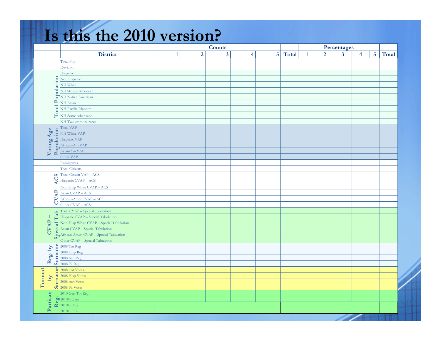#### **Is this the 2010 version?**

|                          |                                                                             |              |                | <b>Counts</b>           |                         | Percentages    |       |              |                |                         |                |                 |       |
|--------------------------|-----------------------------------------------------------------------------|--------------|----------------|-------------------------|-------------------------|----------------|-------|--------------|----------------|-------------------------|----------------|-----------------|-------|
|                          | <b>District</b>                                                             | $\mathbf{1}$ | $\overline{2}$ | $\overline{\mathbf{3}}$ | $\overline{\mathbf{4}}$ | $\overline{5}$ | Total | $\mathbf{1}$ | $\overline{2}$ | $\overline{\mathbf{3}}$ | $\overline{4}$ | $5\phantom{.0}$ | Total |
|                          | <b>Total Pop</b>                                                            |              |                |                         |                         |                |       |              |                |                         |                |                 |       |
|                          | Deviation                                                                   |              |                |                         |                         |                |       |              |                |                         |                |                 |       |
|                          | Hispanic                                                                    |              |                |                         |                         |                |       |              |                |                         |                |                 |       |
|                          | Not Hispanic                                                                |              |                |                         |                         |                |       |              |                |                         |                |                 |       |
|                          | NH White                                                                    |              |                |                         |                         |                |       |              |                |                         |                |                 |       |
|                          | NHAfrican American                                                          |              |                |                         |                         |                |       |              |                |                         |                |                 |       |
| Total Population         | NH Native American                                                          |              |                |                         |                         |                |       |              |                |                         |                |                 |       |
|                          | NH Asian                                                                    |              |                |                         |                         |                |       |              |                |                         |                |                 |       |
|                          | NH Pacific Islander                                                         |              |                |                         |                         |                |       |              |                |                         |                |                 |       |
|                          | NH Some other race                                                          |              |                |                         |                         |                |       |              |                |                         |                |                 |       |
|                          | NH Two or more races                                                        |              |                |                         |                         |                |       |              |                |                         |                |                 |       |
|                          | Total VAP                                                                   |              |                |                         |                         |                |       |              |                |                         |                |                 |       |
|                          | NH White VAP                                                                |              |                |                         |                         |                |       |              |                |                         |                |                 |       |
|                          | Hispanic VAP                                                                |              |                |                         |                         |                |       |              |                |                         |                |                 |       |
| Voting Age<br>Population | African-Am VAP                                                              |              |                |                         |                         |                |       |              |                |                         |                |                 |       |
|                          | Asian-Am VAP                                                                |              |                |                         |                         |                |       |              |                |                         |                |                 |       |
|                          | Other VAP                                                                   |              |                |                         |                         |                |       |              |                |                         |                |                 |       |
|                          | Immigrants                                                                  |              |                |                         |                         |                |       |              |                |                         |                |                 |       |
|                          | <b>Total Citizens</b>                                                       |              |                |                         |                         |                |       |              |                |                         |                |                 |       |
|                          | Total Citizen VAP - ACS                                                     |              |                |                         |                         |                |       |              |                |                         |                |                 |       |
| <b>ACS</b>               | Hispanic CVAP - ACS                                                         |              |                |                         |                         |                |       |              |                |                         |                |                 |       |
| J.                       | Non-Hisp White CVAP - ACS                                                   |              |                |                         |                         |                |       |              |                |                         |                |                 |       |
|                          | Asian CVAP - ACS                                                            |              |                |                         |                         |                |       |              |                |                         |                |                 |       |
| <b>CVAP</b>              | African-Amer CVAP - ACS                                                     |              |                |                         |                         |                |       |              |                |                         |                |                 |       |
|                          | Other CVAP - ACS                                                            |              |                |                         |                         |                |       |              |                |                         |                |                 |       |
|                          | Total CVAP - Special Tabulation                                             |              |                |                         |                         |                |       |              |                |                         |                |                 |       |
|                          | Hispanic CVAP - Special Tabulation                                          |              |                |                         |                         |                |       |              |                |                         |                |                 |       |
| pecial Tab               | Non-Hisp White CVAP - Special Tabulation                                    |              |                |                         |                         |                |       |              |                |                         |                |                 |       |
| <b>CVAP</b>              | Asian CVAP - Special Tabulation                                             |              |                |                         |                         |                |       |              |                |                         |                |                 |       |
|                          | African-Amer .CVAP - Special Tabulation                                     |              |                |                         |                         |                |       |              |                |                         |                |                 |       |
| ဖာ                       | Other CVAP - Special Tabulation                                             |              |                |                         |                         |                |       |              |                |                         |                |                 |       |
|                          |                                                                             |              |                |                         |                         |                |       |              |                |                         |                |                 |       |
| Reg. by                  |                                                                             |              |                |                         |                         |                |       |              |                |                         |                |                 |       |
|                          |                                                                             |              |                |                         |                         |                |       |              |                |                         |                |                 |       |
|                          | 2008 Tot Reg<br>2008 Hisp Reg<br>2008 Asn Reg<br>2008 Fil Reg               |              |                |                         |                         |                |       |              |                |                         |                |                 |       |
|                          | and a 2008 Tot Votes<br>2008 Hisp Votes<br>2008 Asn Votes<br>2008 Fil Votes |              |                |                         |                         |                |       |              |                |                         |                |                 |       |
| Turnout                  | 2008 Hisp Votes                                                             |              |                |                         |                         |                |       |              |                |                         |                |                 |       |
| Δy                       |                                                                             |              |                |                         |                         |                |       |              |                |                         |                |                 |       |
|                          |                                                                             |              |                |                         |                         |                |       |              |                |                         |                |                 |       |
|                          | 2010 Gen Tot Reg                                                            |              |                |                         |                         |                |       |              |                |                         |                |                 |       |
|                          |                                                                             |              |                |                         |                         |                |       |              |                |                         |                |                 |       |
| Partisan                 | $2010G \t\text{Dem}$                                                        |              |                |                         |                         |                |       |              |                |                         |                |                 |       |
|                          | 2010G Oth                                                                   |              |                |                         |                         |                |       |              |                |                         |                |                 |       |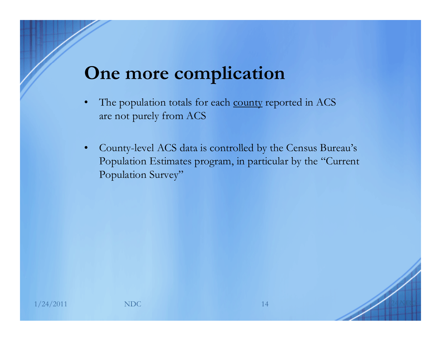## **One more complication**

- •The population totals for each <u>county</u> reported in ACS are not purely from ACS
- $\bullet$ •  $\;$  County-level ACS data is controlled by the Census Bureau's Population Estimates program, in particular by the "Current Population Survey"